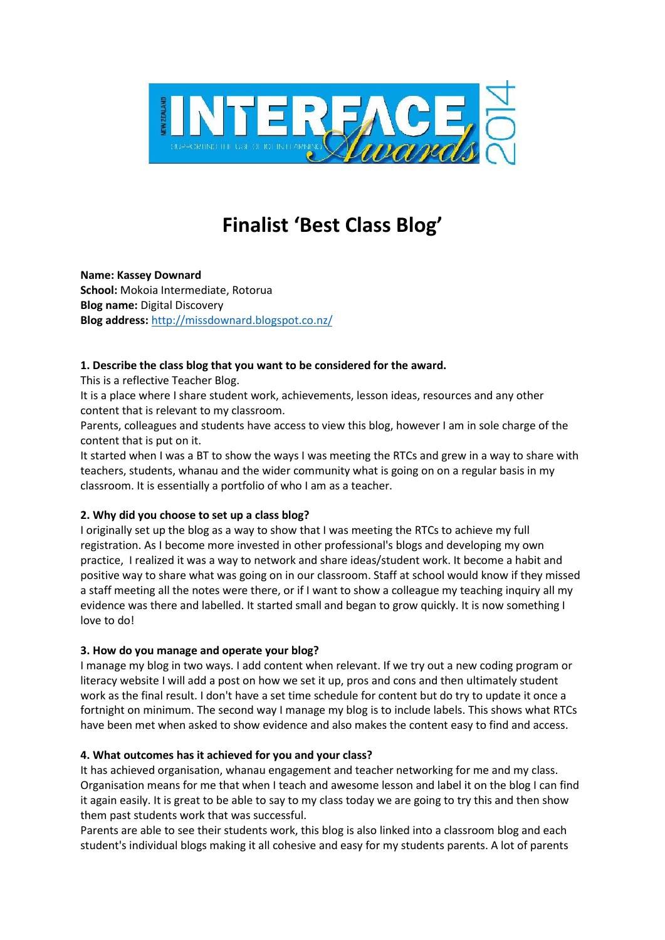

# **Finalist 'Best Class Blog'**

**Name: Kassey Downard School:** Mokoia Intermediate, Rotorua **Blog name:** Digital Discovery **Blog address:** http://missdownard.blogspot.co.nz/

### **1. Describe the class blog that you want to be considered for the award.**

This is a reflective Teacher Blog.

It is a place where I share student work, achievements, lesson ideas, resources and any other content that is relevant to my classroom.

Parents, colleagues and students have access to view this blog, however I am in sole charge of the content that is put on it.

It started when I was a BT to show the ways I was meeting the RTCs and grew in a way to share with teachers, students, whanau and the wider community what is going on on a regular basis in my classroom. It is essentially a portfolio of who I am as a teacher.

## **2. Why did you choose to set up a class blog?**

I originally set up the blog as a way to show that I was meeting the RTCs to achieve my full registration. As I become more invested in other professional's blogs and developing my own practice, I realized it was a way to network and share ideas/student work. It become a habit and positive way to share what was going on in our classroom. Staff at school would know if they missed a staff meeting all the notes were there, or if I want to show a colleague my teaching inquiry all my evidence was there and labelled. It started small and began to grow quickly. It is now something I love to do!

#### **3. How do you manage and operate your blog?**

I manage my blog in two ways. I add content when relevant. If we try out a new coding program or literacy website I will add a post on how we set it up, pros and cons and then ultimately student work as the final result. I don't have a set time schedule for content but do try to update it once a fortnight on minimum. The second way I manage my blog is to include labels. This shows what RTCs have been met when asked to show evidence and also makes the content easy to find and access.

#### **4. What outcomes has it achieved for you and your class?**

It has achieved organisation, whanau engagement and teacher networking for me and my class. Organisation means for me that when I teach and awesome lesson and label it on the blog I can find it again easily. It is great to be able to say to my class today we are going to try this and then show them past students work that was successful.

Parents are able to see their students work, this blog is also linked into a classroom blog and each student's individual blogs making it all cohesive and easy for my students parents. A lot of parents